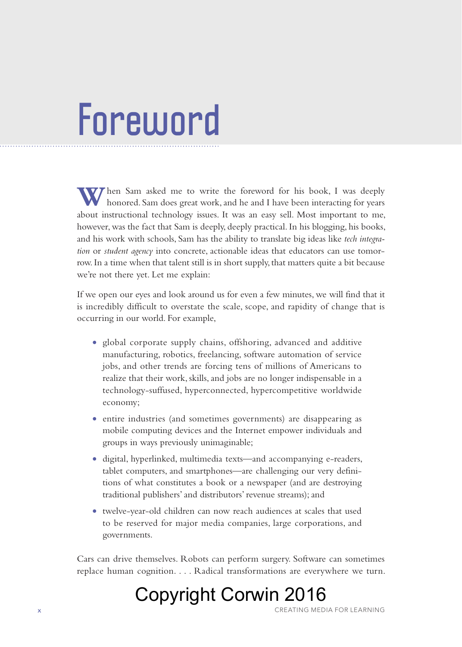## **Foreword**

When Sam asked me to write the foreword for his book, I was deeply honored. Sam does great work, and he and I have been interacting for years about instructional technology issues. It was an easy sell. Most important to me, however, was the fact that Sam is deeply, deeply practical. In his blogging, his books, and his work with schools, Sam has the ability to translate big ideas like *tech integration* or *student agency* into concrete, actionable ideas that educators can use tomorrow. In a time when that talent still is in short supply, that matters quite a bit because we're not there yet. Let me explain:

If we open our eyes and look around us for even a few minutes, we will find that it is incredibly difficult to overstate the scale, scope, and rapidity of change that is occurring in our world. For example,

- global corporate supply chains, offshoring, advanced and additive manufacturing, robotics, freelancing, software automation of service jobs, and other trends are forcing tens of millions of Americans to realize that their work, skills, and jobs are no longer indispensable in a technology-suffused, hyperconnected, hypercompetitive worldwide economy;
- entire industries (and sometimes governments) are disappearing as mobile computing devices and the Internet empower individuals and groups in ways previously unimaginable;
- digital, hyperlinked, multimedia texts—and accompanying e-readers, tablet computers, and smartphones—are challenging our very definitions of what constitutes a book or a newspaper (and are destroying traditional publishers' and distributors' revenue streams); and
- twelve-year-old children can now reach audiences at scales that used to be reserved for major media companies, large corporations, and governments.

Cars can drive themselves. Robots can perform surgery. Software can sometimes replace human cognition. . . . Radical transformations are everywhere we turn.

## Copyright Corwin 2016

x CREATING MEDIA FOR LEARNING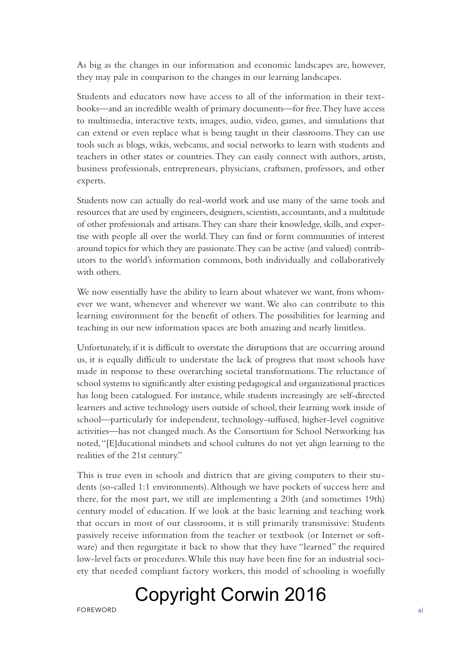As big as the changes in our information and economic landscapes are, however, they may pale in comparison to the changes in our learning landscapes.

Students and educators now have access to all of the information in their textbooks—and an incredible wealth of primary documents—for free. They have access to multimedia, interactive texts, images, audio, video, games, and simulations that can extend or even replace what is being taught in their classrooms. They can use tools such as blogs, wikis, webcams, and social networks to learn with students and teachers in other states or countries. They can easily connect with authors, artists, business professionals, entrepreneurs, physicians, craftsmen, professors, and other experts.

Students now can actually do real-world work and use many of the same tools and resources that are used by engineers, designers, scientists, accountants, and a multitude of other professionals and artisans. They can share their knowledge, skills, and expertise with people all over the world. They can find or form communities of interest around topics for which they are passionate. They can be active (and valued) contributors to the world's information commons, both individually and collaboratively with others.

We now essentially have the ability to learn about whatever we want, from whomever we want, whenever and wherever we want. We also can contribute to this learning environment for the benefit of others. The possibilities for learning and teaching in our new information spaces are both amazing and nearly limitless.

Unfortunately, if it is difficult to overstate the disruptions that are occurring around us, it is equally difficult to understate the lack of progress that most schools have made in response to these overarching societal transformations. The reluctance of school systems to significantly alter existing pedagogical and organizational practices has long been catalogued. For instance, while students increasingly are self-directed learners and active technology users outside of school, their learning work inside of school—particularly for independent, technology-suffused, higher-level cognitive activities—has not changed much. As the Consortium for School Networking has noted, "[E]ducational mindsets and school cultures do not yet align learning to the realities of the 21st century."

This is true even in schools and districts that are giving computers to their students (so-called 1:1 environments). Although we have pockets of success here and there, for the most part, we still are implementing a 20th (and sometimes 19th) century model of education. If we look at the basic learning and teaching work that occurs in most of our classrooms, it is still primarily transmissive: Students passively receive information from the teacher or textbook (or Internet or software) and then regurgitate it back to show that they have "learned" the required low-level facts or procedures. While this may have been fine for an industrial society that needed compliant factory workers, this model of schooling is woefully

## Copyright Corwin 2016